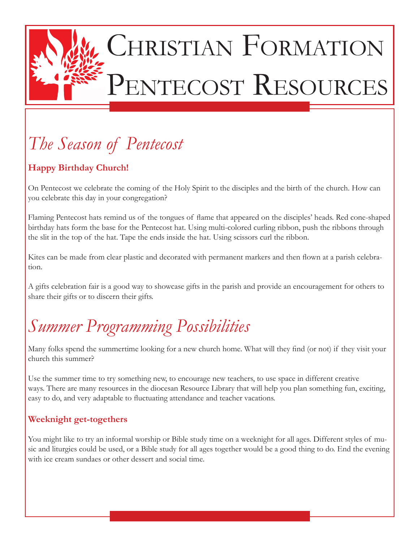

# CHRISTIAN FORMATION PENTECOST RESOURCES

## *The Season of Pentecost*

#### **Happy Birthday Church!**

On Pentecost we celebrate the coming of the Holy Spirit to the disciples and the birth of the church. How can you celebrate this day in your congregation?

Flaming Pentecost hats remind us of the tongues of flame that appeared on the disciples' heads. Red cone-shaped birthday hats form the base for the Pentecost hat. Using multi-colored curling ribbon, push the ribbons through the slit in the top of the hat. Tape the ends inside the hat. Using scissors curl the ribbon.

Kites can be made from clear plastic and decorated with permanent markers and then flown at a parish celebration.

A gifts celebration fair is a good way to showcase gifts in the parish and provide an encouragement for others to share their gifts or to discern their gifts.

# *Summer Programming Possibilities*

Many folks spend the summertime looking for a new church home. What will they find (or not) if they visit your church this summer?

Use the summer time to try something new, to encourage new teachers, to use space in different creative ways. There are many resources in the diocesan Resource Library that will help you plan something fun, exciting, easy to do, and very adaptable to fluctuating attendance and teacher vacations.

#### **Weeknight get-togethers**

You might like to try an informal worship or Bible study time on a weeknight for all ages. Different styles of music and liturgies could be used, or a Bible study for all ages together would be a good thing to do. End the evening with ice cream sundaes or other dessert and social time.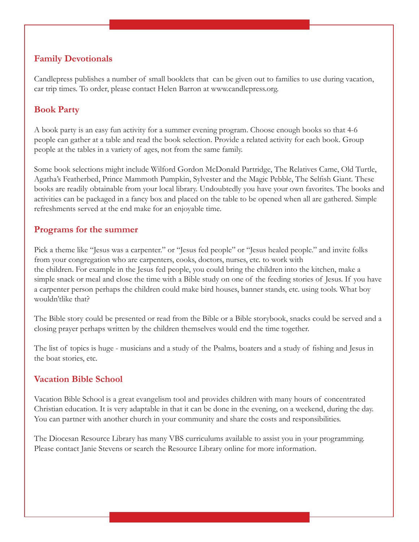#### **Family Devotionals**

Candlepress publishes a number of small booklets that can be given out to families to use during vacation, car trip times. To order, please contact Helen Barron at www.candlepress.org.

#### **Book Party**

A book party is an easy fun activity for a summer evening program. Choose enough books so that 4-6 people can gather at a table and read the book selection. Provide a related activity for each book. Group people at the tables in a variety of ages, not from the same family.

Some book selections might include Wilford Gordon McDonald Partridge, The Relatives Came, Old Turtle, Agatha's Featherbed, Prince Mammoth Pumpkin, Sylvester and the Magic Pebble, The Selfish Giant. These books are readily obtainable from your local library. Undoubtedly you have your own favorites. The books and activities can be packaged in a fancy box and placed on the table to be opened when all are gathered. Simple refreshments served at the end make for an enjoyable time.

#### **Programs for the summer**

Pick a theme like "Jesus was a carpenter." or "Jesus fed people" or "Jesus healed people." and invite folks from your congregation who are carpenters, cooks, doctors, nurses, etc. to work with the children. For example in the Jesus fed people, you could bring the children into the kitchen, make a simple snack or meal and close the time with a Bible study on one of the feeding stories of Jesus. If you have a carpenter person perhaps the children could make bird houses, banner stands, etc. using tools. What boy wouldn'tlike that?

The Bible story could be presented or read from the Bible or a Bible storybook, snacks could be served and a closing prayer perhaps written by the children themselves would end the time together.

The list of topics is huge - musicians and a study of the Psalms, boaters and a study of fishing and Jesus in the boat stories, etc.

#### **Vacation Bible School**

Vacation Bible School is a great evangelism tool and provides children with many hours of concentrated Christian education. It is very adaptable in that it can be done in the evening, on a weekend, during the day. You can partner with another church in your community and share the costs and responsibilities.

The Diocesan Resource Library has many VBS curriculums available to assist you in your programming. Please contact Janie Stevens or search the Resource Library online for more information.